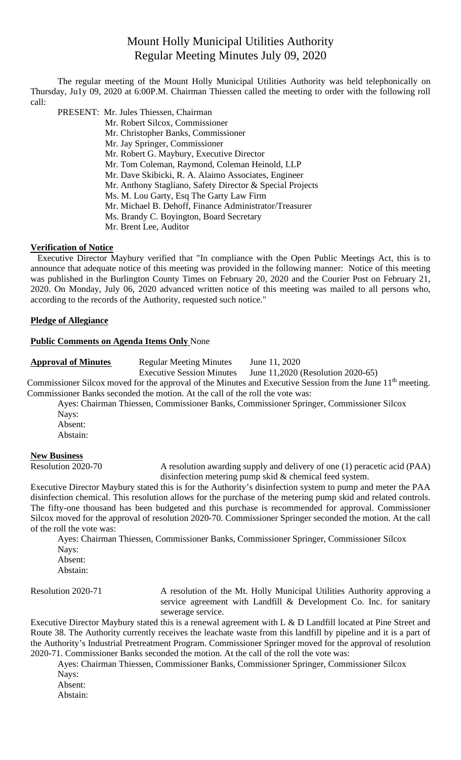# Mount Holly Municipal Utilities Authority Regular Meeting Minutes July 09, 2020

The regular meeting of the Mount Holly Municipal Utilities Authority was held telephonically on Thursday, Ju1y 09, 2020 at 6:00P.M. Chairman Thiessen called the meeting to order with the following roll call:

PRESENT: Mr. Jules Thiessen, Chairman

- Mr. Robert Silcox, Commissioner
	- Mr. Christopher Banks, Commissioner
	- Mr. Jay Springer, Commissioner
	- Mr. Robert G. Maybury, Executive Director
	- Mr. Tom Coleman, Raymond, Coleman Heinold, LLP
	- Mr. Dave Skibicki, R. A. Alaimo Associates, Engineer
	- Mr. Anthony Stagliano, Safety Director & Special Projects
	- Ms. M. Lou Garty, Esq The Garty Law Firm
	- Mr. Michael B. Dehoff, Finance Administrator/Treasurer
	- Ms. Brandy C. Boyington, Board Secretary
	- Mr. Brent Lee, Auditor

## **Verification of Notice**

Executive Director Maybury verified that "In compliance with the Open Public Meetings Act, this is to announce that adequate notice of this meeting was provided in the following manner: Notice of this meeting was published in the Burlington County Times on February 20, 2020 and the Courier Post on February 21, 2020. On Monday, July 06, 2020 advanced written notice of this meeting was mailed to all persons who, according to the records of the Authority, requested such notice."

## **Pledge of Allegiance**

#### **Public Comments on Agenda Items Only** None

**Approval of Minutes** Regular Meeting Minutes June 11, 2020

Executive Session Minutes June 11,2020 (Resolution 2020-65)

Commissioner Silcox moved for the approval of the Minutes and Executive Session from the June 11<sup>th</sup> meeting. Commissioner Banks seconded the motion. At the call of the roll the vote was:

Ayes: Chairman Thiessen, Commissioner Banks, Commissioner Springer, Commissioner Silcox Nays:

Absent: Abstain:

#### **New Business**

Resolution 2020-70 A resolution awarding supply and delivery of one (1) peracetic acid (PAA) disinfection metering pump skid & chemical feed system.

Executive Director Maybury stated this is for the Authority's disinfection system to pump and meter the PAA disinfection chemical. This resolution allows for the purchase of the metering pump skid and related controls. The fifty-one thousand has been budgeted and this purchase is recommended for approval. Commissioner Silcox moved for the approval of resolution 2020-70. Commissioner Springer seconded the motion. At the call of the roll the vote was:

Ayes: Chairman Thiessen, Commissioner Banks, Commissioner Springer, Commissioner Silcox Nays: Absent: Abstain:

Resolution 2020-71 A resolution of the Mt. Holly Municipal Utilities Authority approving a service agreement with Landfill & Development Co. Inc. for sanitary sewerage service.

Executive Director Maybury stated this is a renewal agreement with L & D Landfill located at Pine Street and Route 38. The Authority currently receives the leachate waste from this landfill by pipeline and it is a part of the Authority's Industrial Pretreatment Program. Commissioner Springer moved for the approval of resolution 2020-71. Commissioner Banks seconded the motion. At the call of the roll the vote was:

Ayes: Chairman Thiessen, Commissioner Banks, Commissioner Springer, Commissioner Silcox Navs:

Absent:

Abstain: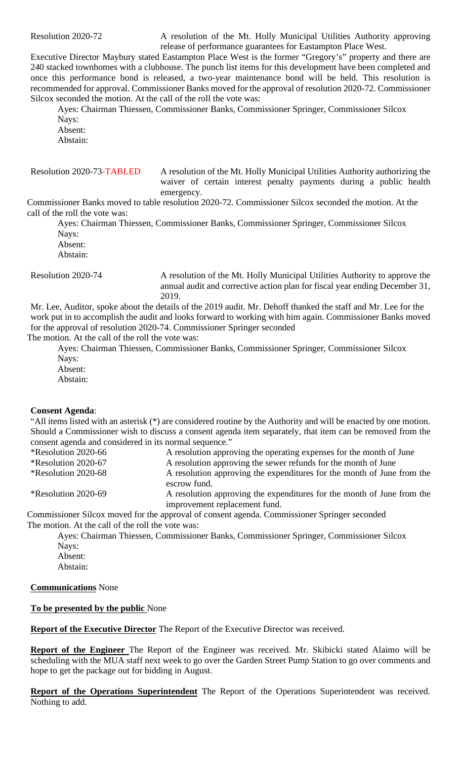Resolution 2020-72 A resolution of the Mt. Holly Municipal Utilities Authority approving release of performance guarantees for Eastampton Place West.

Executive Director Maybury stated Eastampton Place West is the former "Gregory's" property and there are 240 stacked townhomes with a clubhouse. The punch list items for this development have been completed and once this performance bond is released, a two-year maintenance bond will be held. This resolution is recommended for approval. Commissioner Banks moved for the approval of resolution 2020-72. Commissioner Silcox seconded the motion. At the call of the roll the vote was:

Ayes: Chairman Thiessen, Commissioner Banks, Commissioner Springer, Commissioner Silcox Nays:

Absent: Abstain:

Resolution 2020-73-TABLED A resolution of the Mt. Holly Municipal Utilities Authority authorizing the waiver of certain interest penalty payments during a public health emergency.

Commissioner Banks moved to table resolution 2020-72. Commissioner Silcox seconded the motion. At the call of the roll the vote was:

Ayes: Chairman Thiessen, Commissioner Banks, Commissioner Springer, Commissioner Silcox Nays: Absent: Abstain:

Resolution 2020-74 A resolution of the Mt. Holly Municipal Utilities Authority to approve the annual audit and corrective action plan for fiscal year ending December 31, 2019.

Mr. Lee, Auditor, spoke about the details of the 2019 audit. Mr. Dehoff thanked the staff and Mr. Lee for the work put in to accomplish the audit and looks forward to working with him again. Commissioner Banks moved for the approval of resolution 2020-74. Commissioner Springer seconded The motion. At the call of the roll the vote was:

Ayes: Chairman Thiessen, Commissioner Banks, Commissioner Springer, Commissioner Silcox Nays: Absent:

Abstain:

## **Consent Agenda**:

"All items listed with an asterisk (\*) are considered routine by the Authority and will be enacted by one motion. Should a Commissioner wish to discuss a consent agenda item separately, that item can be removed from the consent agenda and considered in its normal sequence."

| <i><b>*Resolution 2020-66</b></i> | A resolution approving the operating expenses for the month of June                                     |
|-----------------------------------|---------------------------------------------------------------------------------------------------------|
| <i><b>*Resolution 2020-67</b></i> | A resolution approving the sewer refunds for the month of June                                          |
| <i><b>*Resolution 2020-68</b></i> | A resolution approving the expenditures for the month of June from the<br>escrow fund.                  |
| <i><b>*Resolution 2020-69</b></i> | A resolution approving the expenditures for the month of June from the<br>improvement replacement fund. |

Commissioner Silcox moved for the approval of consent agenda. Commissioner Springer seconded The motion. At the call of the roll the vote was:

Ayes: Chairman Thiessen, Commissioner Banks, Commissioner Springer, Commissioner Silcox Nays:

Absent: Abstain:

**Communications** None

## **To be presented by the public** None

**Report of the Executive Director** The Report of the Executive Director was received.

**Report of the Engineer** The Report of the Engineer was received. Mr. Skibicki stated Alaimo will be scheduling with the MUA staff next week to go over the Garden Street Pump Station to go over comments and hope to get the package out for bidding in August.

**Report of the Operations Superintendent** The Report of the Operations Superintendent was received. Nothing to add.